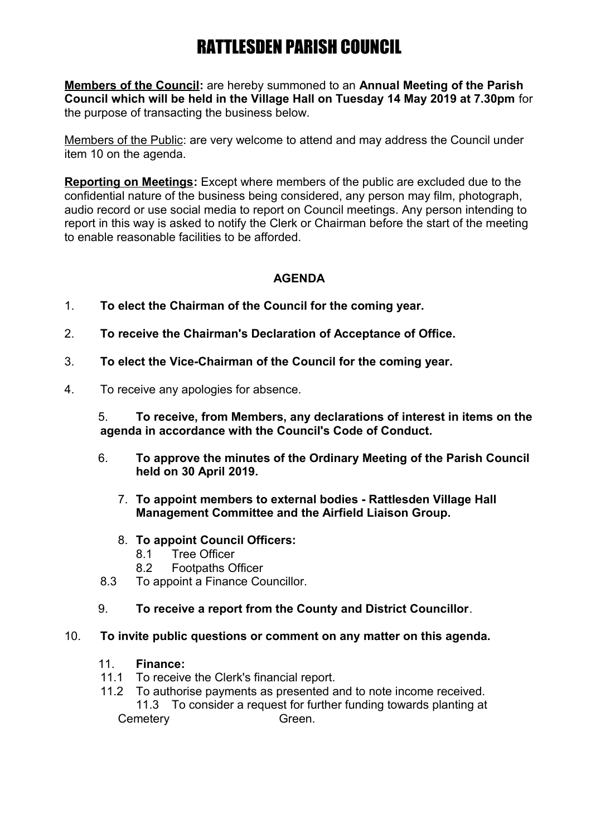# RATTLESDEN PARISH COUNCIL

**Members of the Council:** are hereby summoned to an **Annual Meeting of the Parish Council which will be held in the Village Hall on Tuesday 14 May 2019 at 7.30pm** for the purpose of transacting the business below.

Members of the Public: are very welcome to attend and may address the Council under item 10 on the agenda.

**Reporting on Meetings:** Except where members of the public are excluded due to the confidential nature of the business being considered, any person may film, photograph, audio record or use social media to report on Council meetings. Any person intending to report in this way is asked to notify the Clerk or Chairman before the start of the meeting to enable reasonable facilities to be afforded.

## **AGENDA**

- 1. **To elect the Chairman of the Council for the coming year.**
- 2. **To receive the Chairman's Declaration of Acceptance of Office.**
- 3. **To elect the Vice-Chairman of the Council for the coming year.**
- 4. To receive any apologies for absence.

5. **To receive, from Members, any declarations of interest in items on the agenda in accordance with the Council's Code of Conduct.**

- 6. **To approve the minutes of the Ordinary Meeting of the Parish Council held on 30 April 2019.**
	- 7. **To appoint members to external bodies Rattlesden Village Hall Management Committee and the Airfield Liaison Group.**
	- 8. **To appoint Council Officers:**
		- 8.1 Tree Officer<br>8.2 Footpaths O
		- Footpaths Officer
- 8.3 To appoint a Finance Councillor.
- 9. **To receive a report from the County and District Councillor**.

### 10. **To invite public questions or comment on any matter on this agenda.**

- 11. **Finance:**
- 11.1 To receive the Clerk's financial report.
- 11.2 To authorise payments as presented and to note income received.

11.3 To consider a request for further funding towards planting at Cemetery Green.